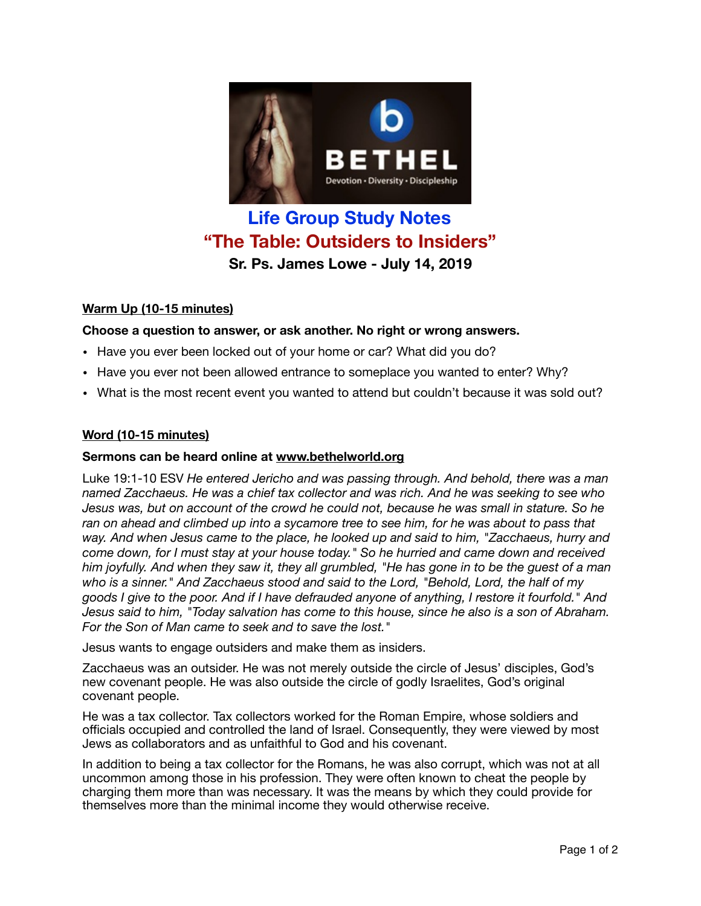

# **Life Group Study Notes "The Table: Outsiders to Insiders" Sr. Ps. James Lowe - July 14, 2019**

## **Warm Up (10-15 minutes)**

### **Choose a question to answer, or ask another. No right or wrong answers.**

- Have you ever been locked out of your home or car? What did you do?
- Have you ever not been allowed entrance to someplace you wanted to enter? Why?
- What is the most recent event you wanted to attend but couldn't because it was sold out?

#### **Word (10-15 minutes)**

#### **Sermons can be heard online at [www.bethelworld.org](http://www.bethelworld.org)**

Luke 19:1-10 ESV *He entered Jericho and was passing through. And behold, there was a man named Zacchaeus. He was a chief tax collector and was rich. And he was seeking to see who Jesus was, but on account of the crowd he could not, because he was small in stature. So he*  ran on ahead and climbed up into a sycamore tree to see him, for he was about to pass that *way. And when Jesus came to the place, he looked up and said to him, "Zacchaeus, hurry and come down, for I must stay at your house today." So he hurried and came down and received him joyfully. And when they saw it, they all grumbled, "He has gone in to be the guest of a man who is a sinner." And Zacchaeus stood and said to the Lord, "Behold, Lord, the half of my goods I give to the poor. And if I have defrauded anyone of anything, I restore it fourfold." And Jesus said to him, "Today salvation has come to this house, since he also is a son of Abraham. For the Son of Man came to seek and to save the lost."*

Jesus wants to engage outsiders and make them as insiders.

Zacchaeus was an outsider. He was not merely outside the circle of Jesus' disciples, God's new covenant people. He was also outside the circle of godly Israelites, God's original covenant people.

He was a tax collector. Tax collectors worked for the Roman Empire, whose soldiers and officials occupied and controlled the land of Israel. Consequently, they were viewed by most Jews as collaborators and as unfaithful to God and his covenant.

In addition to being a tax collector for the Romans, he was also corrupt, which was not at all uncommon among those in his profession. They were often known to cheat the people by charging them more than was necessary. It was the means by which they could provide for themselves more than the minimal income they would otherwise receive.